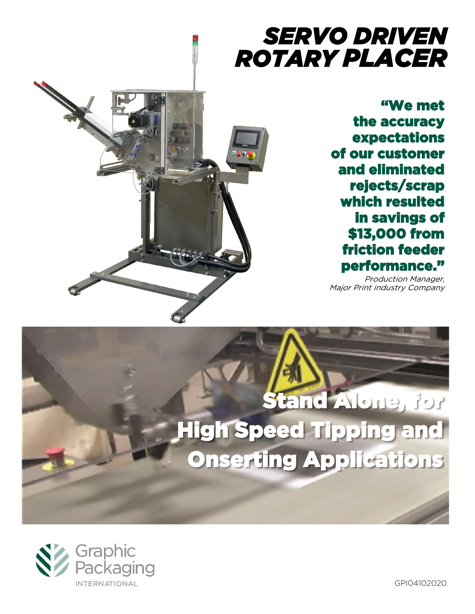## *SERVO DRIVEN ROTARY PLACER*

"We met the accuracy expectations of our customer and eliminated rejects/scrap which resulted in savings of \$13,000 from friction feeder performance."

Production Manager, Major Print industry Company

# Stand Alone, for High Speed Tipping and Onserting Applications



GPI04102020